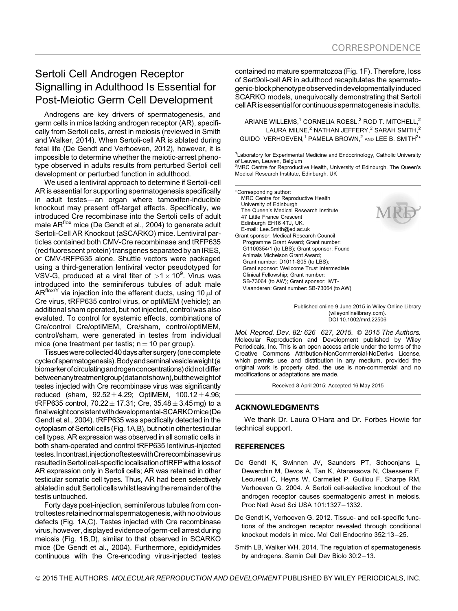## Sertoli Cell Androgen Receptor Signalling in Adulthood Is Essential for Post-Meiotic Germ Cell Development

Androgens are key drivers of spermatogenesis, and germ cells in mice lacking androgen receptor (AR), specifically from Sertoli cells, arrest in meiosis (reviewed in Smith and Walker, 2014). When Sertoli-cell AR is ablated during fetal life (De Gendt and Verhoeven, 2012), however, it is impossible to determine whether the meiotic-arrest phenotype observed in adults results from perturbed Sertoli cell development or perturbed function in adulthood.

We used a lentiviral approach to determine if Sertoli-cell AR is essential for supporting spermatogenesis specifically in adult testes-an organ where tamoxifen-inducible knockout may present off-target effects. Specifically, we introduced Cre recombinase into the Sertoli cells of adult male AR<sup>flox</sup> mice (De Gendt et al., 2004) to generate adult Sertoli-Cell AR Knockout (aSCARKO) mice. Lentiviral particles contained both CMV-Cre recombinase and tRFP635 (red fluorescent protein) transgenes separated by an IRES, or CMV-tRFP635 alone. Shuttle vectors were packaged using a third-generation lentiviral vector pseudotyped for VSV-G, produced at a viral titer of  $>1\times10^9$ . Virus was introduced into the seminiferous tubules of adult male AR<sup>flox/Y</sup> via injection into the efferent ducts, using 10  $\mu$ l of Cre virus, tRFP635 control virus, or optiMEM (vehicle); an additional sham operated, but not injected, control was also evaluted. To control for systemic effects, combinations of Cre/control Cre/optiMEM, Cre/sham, control/optiMEM, control/sham, were generated in testes from individual mice (one treatment per testis;  $n = 10$  per group).

Tissueswere collected40daysafter surgery (one complete cycleofspermatogenesis).Bodyandseminalvesicleweight (a biomarker of circulating androgen concentrations) did not differ betweenanytreatmentgroup(datanotshown), buttheweight of testes injected with Cre recombinase virus was significantly reduced (sham,  $92.52 \pm 4.29$ ; OptiMEM,  $100.12 \pm 4.96$ ; tRFP635 control,  $70.22 \pm 17.31$ ; Cre,  $35.48 \pm 3.45$  mg) to a finalweightconsistentwithdevelopmental-SCARKOmice (De Gendt et al., 2004). tRFP635 was specifically detected in the cytoplasm of Sertoli cells (Fig. 1A,B), but not in other testicular cell types. AR expression was observed in all somatic cells in both sham-operated and control tRFP635 lentivirus-injected testes.Incontrast,injectionoftesteswithCrerecombinasevirus resulted in Sertoli cell-specific localisation of tRFP with a loss of AR expression only in Sertoli cells; AR was retained in other testicular somatic cell types. Thus, AR had been selectively ablated in adult Sertoli cells whilst leaving the remainder of the testis untouched.

Forty days post-injection, seminiferous tubules from control testes retained normal spermatogenesis, with no obvious defects (Fig. 1A,C). Testes injected with Cre recombinase virus, however, displayed evidence of germ-cell arrest during meiosis (Fig. 1B,D), similar to that observed in SCARKO mice (De Gendt et al., 2004). Furthermore, epididymides continuous with the Cre-encoding virus-injected testes

contained no mature spermatozoa (Fig. 1F). Therefore, loss of Sert9oli-cell AR in adulthood recapitulates the spermatogenic-block phenotype observed in developmentally induced SCARKO models, unequivocally demonstrating that Sertoli cell AR is essential for continuous spermatogenesis in adults.

ARIANE WILLEMS, $1$  CORNELIA ROESL, $2$  ROD T. MITCHELL, $2$ LAURA MILNE, $2$  NATHAN JEFFERY, $2$  SARAH SMITH, $2$ GUIDO VERHOEVEN,<sup>1</sup> PAMELA BROWN,<sup>2</sup> and LEE B. SMITH<sup>2\*</sup>

<sup>1</sup> Laboratory for Experimental Medicine and Endocrinology, Catholic University of Leuven, Leuven, Belgium

<sup>2</sup>MRC Centre for Reproductive Health, University of Edinburgh, The Queen's Medical Research Institute, Edinburgh, UK

Corresponding author: MRC Centre for Reproductive Health University of Edinburgh The Queen's Medical Research Institute 47 Little France Crescent Edinburgh EH16 4TJ, UK. E-mail: Lee.Smith@ed.ac.uk

Grant sponsor: Medical Research Council Programme Grant Award; Grant number: G1100354/1 (to LBS); Grant sponsor: Found Animals Michelson Grant Award; Grant number: D1011-S05 (to LBS); Grant sponsor: Wellcome Trust Intermediate Clinical Fellowship; Grant number: SB-73064 (to AW); Grant sponsor: IWT-Vlaanderen; Grant number: SB-73064 (to AW)



Published online 9 June 2015 in Wiley Online Library (wileyonlinelibrary.com). DOI 10.1002/mrd.22506

Mol. Reprod. Dev. 82: 626-627, 2015. © 2015 The Authors. Molecular Reproduction and Development published by Wiley Periodicals, Inc. This is an open access article under the terms of the Creative Commons Attribution-NonCommercial-NoDerivs License, which permits use and distribution in any medium, provided the original work is properly cited, the use is non-commercial and no modifications or adaptations are made.

Received 8 April 2015; Accepted 16 May 2015

## ACKNOWLEDGMENTS

We thank Dr. Laura O'Hara and Dr. Forbes Howie for technical support.

## **REFERENCES**

- De Gendt K, Swinnen JV, Saunders PT, Schoonjans L, Dewerchin M, Devos A, Tan K, Atanassova N, Claessens F, Lecureuil C, Heyns W, Carmeliet P, Guillou F, Sharpe RM, Verhoeven G. 2004. A Sertoli cell-selective knockout of the androgen receptor causes spermatogenic arrest in meiosis. Proc Natl Acad Sci USA 101:1327-1332.
- De Gendt K, Verhoeven G. 2012. Tissue- and cell-specific functions of the androgen receptor revealed through conditional knockout models in mice. Mol Cell Endocrino 352:13-25.
- Smith LB, Walker WH. 2014. The regulation of spermatogenesis by androgens. Semin Cell Dev Biolo 30:2-13.